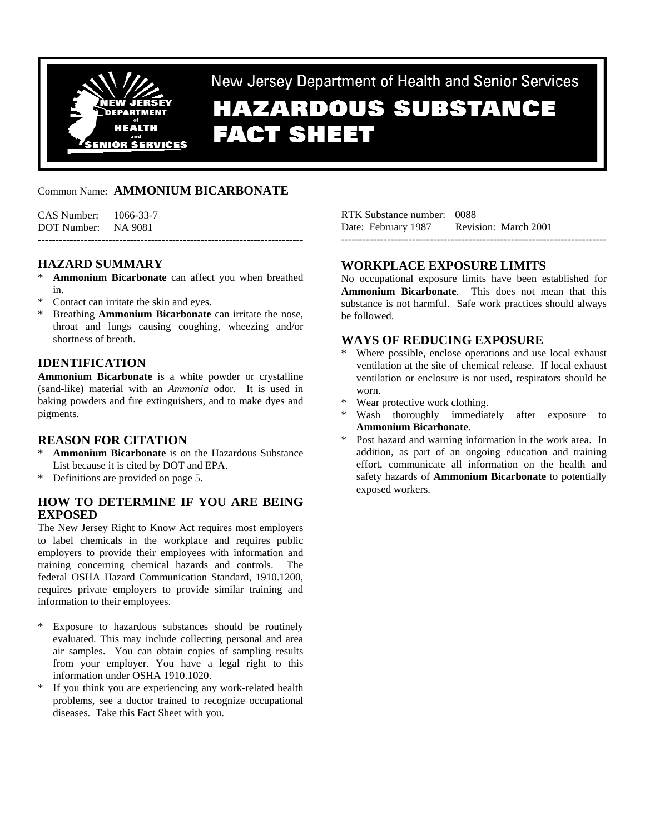

New Jersey Department of Health and Senior Services

# **HAZARDOUS SUBSTANCE FACT SHEET**

# Common Name: **AMMONIUM BICARBONATE**

CAS Number: 1066-33-7 DOT Number: NA 9081 ---------------------------------------------------------------------------

**HAZARD SUMMARY** 

- Ammonium Bicarbonate can affect you when breathed in.
- \* Contact can irritate the skin and eyes.
- \* Breathing **Ammonium Bicarbonate** can irritate the nose, throat and lungs causing coughing, wheezing and/or shortness of breath.

# **IDENTIFICATION**

**Ammonium Bicarbonate** is a white powder or crystalline (sand-like) material with an *Ammonia* odor. It is used in baking powders and fire extinguishers, and to make dyes and pigments.

### **REASON FOR CITATION**

- Ammonium Bicarbonate is on the Hazardous Substance List because it is cited by DOT and EPA.
- \* Definitions are provided on page 5.

# **HOW TO DETERMINE IF YOU ARE BEING EXPOSED**

The New Jersey Right to Know Act requires most employers to label chemicals in the workplace and requires public employers to provide their employees with information and training concerning chemical hazards and controls. The federal OSHA Hazard Communication Standard, 1910.1200, requires private employers to provide similar training and information to their employees.

- Exposure to hazardous substances should be routinely evaluated. This may include collecting personal and area air samples. You can obtain copies of sampling results from your employer. You have a legal right to this information under OSHA 1910.1020.
- If you think you are experiencing any work-related health problems, see a doctor trained to recognize occupational diseases. Take this Fact Sheet with you.

RTK Substance number: 0088 Date: February 1987 Revision: March 2001 ---------------------------------------------------------------------------

### **WORKPLACE EXPOSURE LIMITS**

No occupational exposure limits have been established for **Ammonium Bicarbonate**. This does not mean that this substance is not harmful. Safe work practices should always be followed.

# **WAYS OF REDUCING EXPOSURE**

- Where possible, enclose operations and use local exhaust ventilation at the site of chemical release. If local exhaust ventilation or enclosure is not used, respirators should be worn.
- Wear protective work clothing.
- Wash thoroughly immediately after exposure to **Ammonium Bicarbonate**.
- \* Post hazard and warning information in the work area. In addition, as part of an ongoing education and training effort, communicate all information on the health and safety hazards of **Ammonium Bicarbonate** to potentially exposed workers.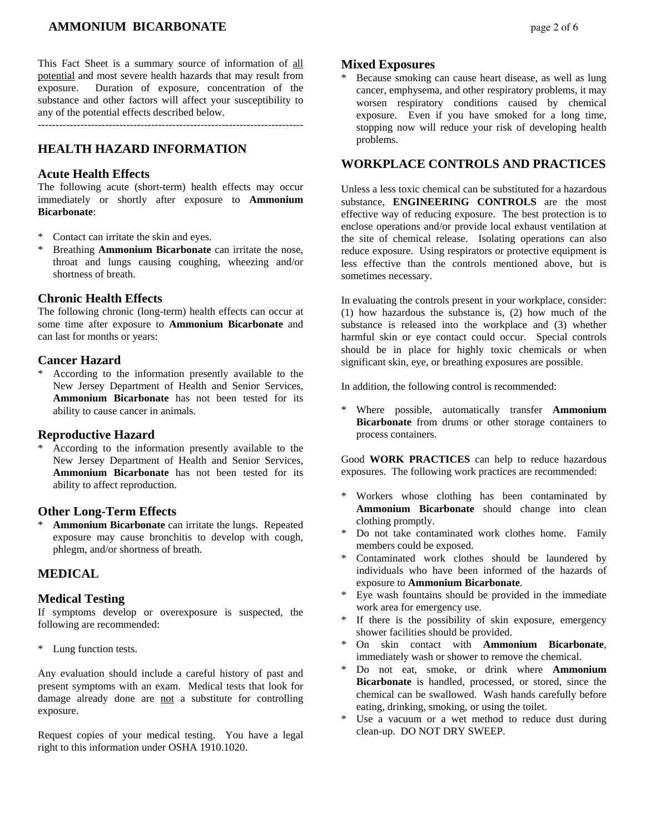# *AMMONIUM BICARBONATE page 2 of 6*

This Fact Sheet is a summary source of information of all potential and most severe health hazards that may result from exposure. Duration of exposure, concentration of the substance and other factors will affect your susceptibility to any of the potential effects described below.

---------------------------------------------------------------------------

# **HEALTH HAZARD INFORMATION**

#### **Acute Health Effects**

The following acute (short-term) health effects may occur immediately or shortly after exposure to **Ammonium Bicarbonate**:

- Contact can irritate the skin and eyes.
- Breathing **Ammonium Bicarbonate** can irritate the nose, throat and lungs causing coughing, wheezing and/or shortness of breath.

#### **Chronic Health Effects**

The following chronic (long-term) health effects can occur at some time after exposure to **Ammonium Bicarbonate** and can last for months or years:

#### **Cancer Hazard**

According to the information presently available to the New Jersey Department of Health and Senior Services, **Ammonium Bicarbonate** has not been tested for its ability to cause cancer in animals.

#### **Reproductive Hazard**

According to the information presently available to the New Jersey Department of Health and Senior Services, **Ammonium Bicarbonate** has not been tested for its ability to affect reproduction.

#### **Other Long-Term Effects**

Ammonium Bicarbonate can irritate the lungs. Repeated exposure may cause bronchitis to develop with cough, phlegm, and/or shortness of breath.

## **MEDICAL**

#### **Medical Testing**

If symptoms develop or overexposure is suspected, the following are recommended:

\* Lung function tests.

Any evaluation should include a careful history of past and present symptoms with an exam. Medical tests that look for damage already done are not a substitute for controlling exposure.

Request copies of your medical testing. You have a legal right to this information under OSHA 1910.1020.

#### **Mixed Exposures**

Because smoking can cause heart disease, as well as lung cancer, emphysema, and other respiratory problems, it may worsen respiratory conditions caused by chemical exposure. Even if you have smoked for a long time, stopping now will reduce your risk of developing health problems.

# **WORKPLACE CONTROLS AND PRACTICES**

Unless a less toxic chemical can be substituted for a hazardous substance, **ENGINEERING CONTROLS** are the most effective way of reducing exposure. The best protection is to enclose operations and/or provide local exhaust ventilation at the site of chemical release. Isolating operations can also reduce exposure. Using respirators or protective equipment is less effective than the controls mentioned above, but is sometimes necessary.

In evaluating the controls present in your workplace, consider: (1) how hazardous the substance is, (2) how much of the substance is released into the workplace and (3) whether harmful skin or eye contact could occur. Special controls should be in place for highly toxic chemicals or when significant skin, eye, or breathing exposures are possible.

In addition, the following control is recommended:

\* Where possible, automatically transfer **Ammonium Bicarbonate** from drums or other storage containers to process containers.

Good **WORK PRACTICES** can help to reduce hazardous exposures. The following work practices are recommended:

- \* Workers whose clothing has been contaminated by **Ammonium Bicarbonate** should change into clean clothing promptly.
- Do not take contaminated work clothes home. Family members could be exposed.
- Contaminated work clothes should be laundered by individuals who have been informed of the hazards of exposure to **Ammonium Bicarbonate**.
- \* Eye wash fountains should be provided in the immediate work area for emergency use.
- \* If there is the possibility of skin exposure, emergency shower facilities should be provided.
- \* On skin contact with **Ammonium Bicarbonate**, immediately wash or shower to remove the chemical.
- Do not eat, smoke, or drink where **Ammonium Bicarbonate** is handled, processed, or stored, since the chemical can be swallowed. Wash hands carefully before eating, drinking, smoking, or using the toilet.
- \* Use a vacuum or a wet method to reduce dust during clean-up. DO NOT DRY SWEEP.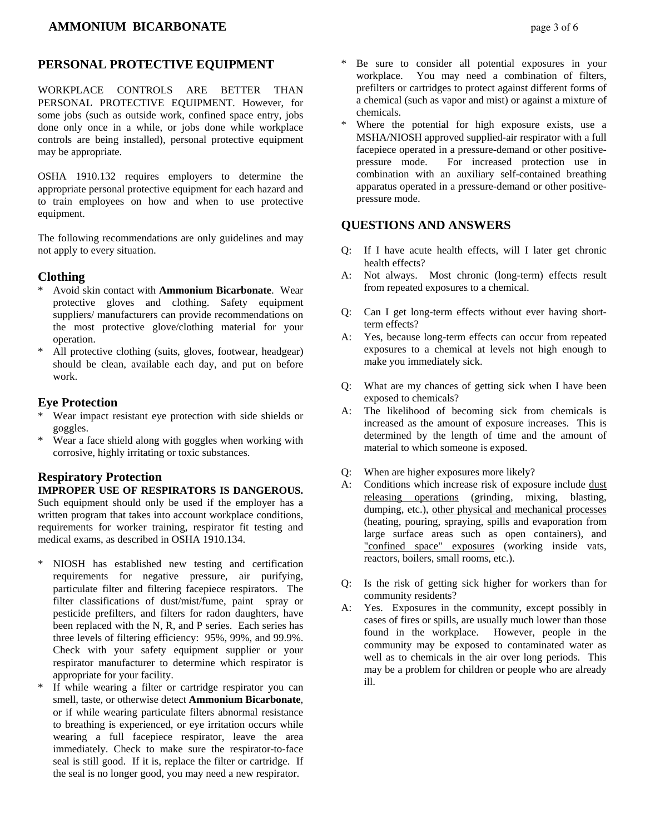# **PERSONAL PROTECTIVE EQUIPMENT**

WORKPLACE CONTROLS ARE BETTER THAN PERSONAL PROTECTIVE EQUIPMENT. However, for some jobs (such as outside work, confined space entry, jobs done only once in a while, or jobs done while workplace controls are being installed), personal protective equipment may be appropriate.

OSHA 1910.132 requires employers to determine the appropriate personal protective equipment for each hazard and to train employees on how and when to use protective equipment.

The following recommendations are only guidelines and may not apply to every situation.

#### **Clothing**

- \* Avoid skin contact with **Ammonium Bicarbonate**. Wear protective gloves and clothing. Safety equipment suppliers/ manufacturers can provide recommendations on the most protective glove/clothing material for your operation.
- All protective clothing (suits, gloves, footwear, headgear) should be clean, available each day, and put on before work.

#### **Eye Protection**

- \* Wear impact resistant eye protection with side shields or goggles.
- \* Wear a face shield along with goggles when working with corrosive, highly irritating or toxic substances.

### **Respiratory Protection**

#### **IMPROPER USE OF RESPIRATORS IS DANGEROUS.**

Such equipment should only be used if the employer has a written program that takes into account workplace conditions, requirements for worker training, respirator fit testing and medical exams, as described in OSHA 1910.134.

- \* NIOSH has established new testing and certification requirements for negative pressure, air purifying, particulate filter and filtering facepiece respirators. The filter classifications of dust/mist/fume, paint spray or pesticide prefilters, and filters for radon daughters, have been replaced with the N, R, and P series. Each series has three levels of filtering efficiency: 95%, 99%, and 99.9%. Check with your safety equipment supplier or your respirator manufacturer to determine which respirator is appropriate for your facility.
- If while wearing a filter or cartridge respirator you can smell, taste, or otherwise detect **Ammonium Bicarbonate**, or if while wearing particulate filters abnormal resistance to breathing is experienced, or eye irritation occurs while wearing a full facepiece respirator, leave the area immediately. Check to make sure the respirator-to-face seal is still good. If it is, replace the filter or cartridge. If the seal is no longer good, you may need a new respirator.
- Be sure to consider all potential exposures in your workplace. You may need a combination of filters, prefilters or cartridges to protect against different forms of a chemical (such as vapor and mist) or against a mixture of chemicals.
- Where the potential for high exposure exists, use a MSHA/NIOSH approved supplied-air respirator with a full facepiece operated in a pressure-demand or other positivepressure mode. For increased protection use in combination with an auxiliary self-contained breathing apparatus operated in a pressure-demand or other positivepressure mode.

# **QUESTIONS AND ANSWERS**

- Q: If I have acute health effects, will I later get chronic health effects?
- A: Not always. Most chronic (long-term) effects result from repeated exposures to a chemical.
- Q: Can I get long-term effects without ever having shortterm effects?
- A: Yes, because long-term effects can occur from repeated exposures to a chemical at levels not high enough to make you immediately sick.
- Q: What are my chances of getting sick when I have been exposed to chemicals?
- A: The likelihood of becoming sick from chemicals is increased as the amount of exposure increases. This is determined by the length of time and the amount of material to which someone is exposed.
- Q: When are higher exposures more likely?
- A: Conditions which increase risk of exposure include dust releasing operations (grinding, mixing, blasting, dumping, etc.), other physical and mechanical processes (heating, pouring, spraying, spills and evaporation from large surface areas such as open containers), and "confined space" exposures (working inside vats, reactors, boilers, small rooms, etc.).
- Q: Is the risk of getting sick higher for workers than for community residents?
- A: Yes. Exposures in the community, except possibly in cases of fires or spills, are usually much lower than those found in the workplace. However, people in the community may be exposed to contaminated water as well as to chemicals in the air over long periods. This may be a problem for children or people who are already ill.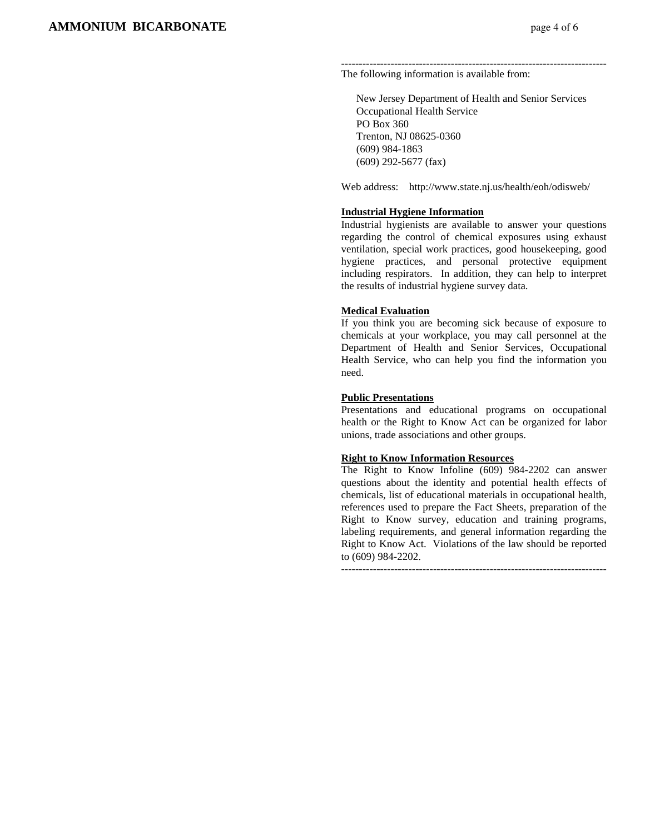--------------------------------------------------------------------------- The following information is available from:

 New Jersey Department of Health and Senior Services Occupational Health Service PO Box 360 Trenton, NJ 08625-0360 (609) 984-1863 (609) 292-5677 (fax)

Web address: http://www.state.nj.us/health/eoh/odisweb/

#### **Industrial Hygiene Information**

Industrial hygienists are available to answer your questions regarding the control of chemical exposures using exhaust ventilation, special work practices, good housekeeping, good hygiene practices, and personal protective equipment including respirators. In addition, they can help to interpret the results of industrial hygiene survey data.

#### **Medical Evaluation**

If you think you are becoming sick because of exposure to chemicals at your workplace, you may call personnel at the Department of Health and Senior Services, Occupational Health Service, who can help you find the information you need.

#### **Public Presentations**

Presentations and educational programs on occupational health or the Right to Know Act can be organized for labor unions, trade associations and other groups.

#### **Right to Know Information Resources**

The Right to Know Infoline (609) 984-2202 can answer questions about the identity and potential health effects of chemicals, list of educational materials in occupational health, references used to prepare the Fact Sheets, preparation of the Right to Know survey, education and training programs, labeling requirements, and general information regarding the Right to Know Act. Violations of the law should be reported to (609) 984-2202.

---------------------------------------------------------------------------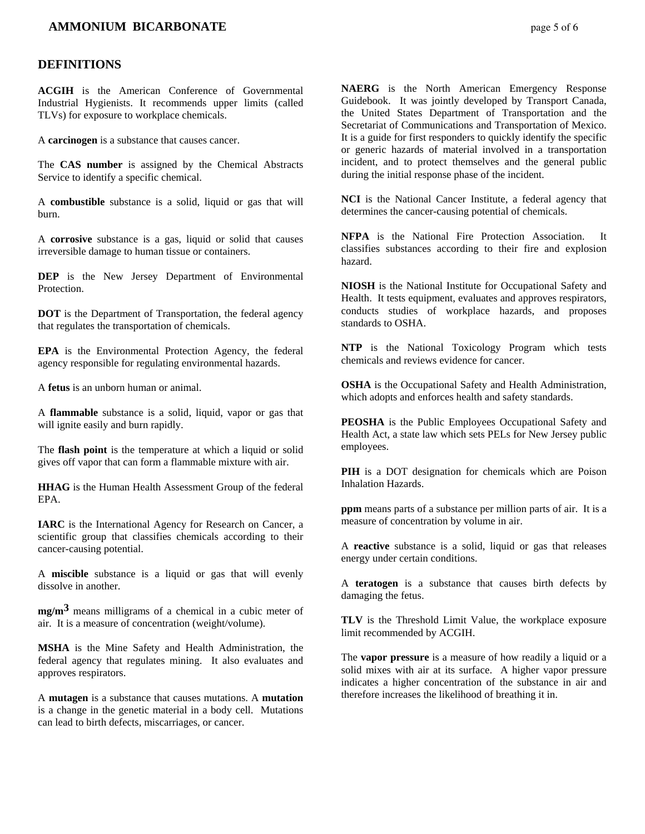## *AMMONIUM BICARBONATE page 5 of 6*

#### **DEFINITIONS**

**ACGIH** is the American Conference of Governmental Industrial Hygienists. It recommends upper limits (called TLVs) for exposure to workplace chemicals.

A **carcinogen** is a substance that causes cancer.

The **CAS number** is assigned by the Chemical Abstracts Service to identify a specific chemical.

A **combustible** substance is a solid, liquid or gas that will burn.

A **corrosive** substance is a gas, liquid or solid that causes irreversible damage to human tissue or containers.

**DEP** is the New Jersey Department of Environmental Protection.

**DOT** is the Department of Transportation, the federal agency that regulates the transportation of chemicals.

**EPA** is the Environmental Protection Agency, the federal agency responsible for regulating environmental hazards.

A **fetus** is an unborn human or animal.

A **flammable** substance is a solid, liquid, vapor or gas that will ignite easily and burn rapidly.

The **flash point** is the temperature at which a liquid or solid gives off vapor that can form a flammable mixture with air.

**HHAG** is the Human Health Assessment Group of the federal EPA.

**IARC** is the International Agency for Research on Cancer, a scientific group that classifies chemicals according to their cancer-causing potential.

A **miscible** substance is a liquid or gas that will evenly dissolve in another.

**mg/m3** means milligrams of a chemical in a cubic meter of air. It is a measure of concentration (weight/volume).

**MSHA** is the Mine Safety and Health Administration, the federal agency that regulates mining. It also evaluates and approves respirators.

A **mutagen** is a substance that causes mutations. A **mutation** is a change in the genetic material in a body cell. Mutations can lead to birth defects, miscarriages, or cancer.

**NAERG** is the North American Emergency Response Guidebook. It was jointly developed by Transport Canada, the United States Department of Transportation and the Secretariat of Communications and Transportation of Mexico. It is a guide for first responders to quickly identify the specific or generic hazards of material involved in a transportation incident, and to protect themselves and the general public during the initial response phase of the incident.

**NCI** is the National Cancer Institute, a federal agency that determines the cancer-causing potential of chemicals.

**NFPA** is the National Fire Protection Association. It classifies substances according to their fire and explosion hazard.

**NIOSH** is the National Institute for Occupational Safety and Health. It tests equipment, evaluates and approves respirators, conducts studies of workplace hazards, and proposes standards to OSHA.

**NTP** is the National Toxicology Program which tests chemicals and reviews evidence for cancer.

**OSHA** is the Occupational Safety and Health Administration, which adopts and enforces health and safety standards.

**PEOSHA** is the Public Employees Occupational Safety and Health Act, a state law which sets PELs for New Jersey public employees.

**PIH** is a DOT designation for chemicals which are Poison Inhalation Hazards.

**ppm** means parts of a substance per million parts of air. It is a measure of concentration by volume in air.

A **reactive** substance is a solid, liquid or gas that releases energy under certain conditions.

A **teratogen** is a substance that causes birth defects by damaging the fetus.

**TLV** is the Threshold Limit Value, the workplace exposure limit recommended by ACGIH.

The **vapor pressure** is a measure of how readily a liquid or a solid mixes with air at its surface. A higher vapor pressure indicates a higher concentration of the substance in air and therefore increases the likelihood of breathing it in.